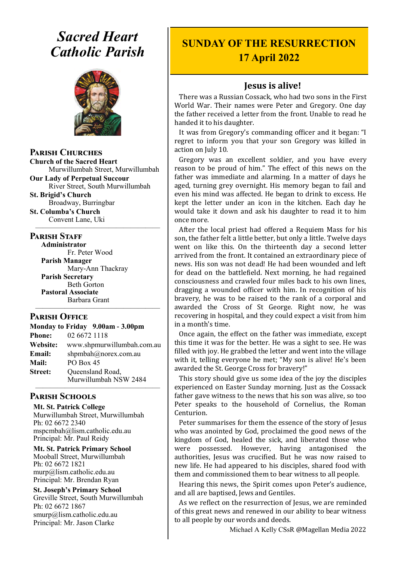## *Sacred Heart Catholic Parish*



**Parish Churches**

**Church of the Sacred Heart** Murwillumbah Street, Murwillumbah

**Our Lady of Perpetual Succour** River Street, South Murwillumbah

**St. Brigid's Church** Broadway, Burringbar

**St. Columba's Church** Convent Lane, Uki —————————————————

#### **PARISH STAFF**

**Administrator** Fr. Peter Wood **Parish Manager** Mary-Ann Thackray **Parish Secretary** Beth Gorton **Pastoral Associate** Barbara Grant —————————————————

#### **Parish Office**

| Monday to Friday 9.00am - 3.00pm |                            |
|----------------------------------|----------------------------|
| <b>Phone:</b>                    | 02 6672 1118               |
| <b>Website:</b>                  | www.shpmurwillumbah.com.au |
| Email:                           | shpmbah@norex.com.au       |
| <b>Mail:</b>                     | PO Box 45                  |
| <b>Street:</b>                   | Queensland Road,           |
|                                  | Murwillumbah NSW 2484      |

#### ————————————————— **Parish Schools**

**Mt. St. Patrick College** Murwillumbah Street, Murwillumbah Ph: 02 6672 2340 mspcmbah@lism.catholic.edu.au Principal: Mr. Paul Reidy

**Mt. St. Patrick Primary School** Mooball Street, Murwillumbah Ph: 02 6672 1821 murp@lism.catholic.edu.au Principal: Mr. Brendan Ryan

**St. Joseph's Primary School** Greville Street, South Murwillumbah Ph: 02 6672 1867 smurp@lism.catholic.edu.au Principal: Mr. Jason Clarke

## **SUNDAY OF THE RESURRECTION 17 April 2022**

## **Jesus is alive!**

There was a Russian Cossack, who had two sons in the First World War. Their names were Peter and Gregory. One day the father received a letter from the front. Unable to read he handed it to his daughter.

It was from Gregory's commanding officer and it began: "I regret to inform you that your son Gregory was killed in action on July 10.

Gregory was an excellent soldier, and you have every reason to be proud of him." The effect of this news on the father was immediate and alarming. In a matter of days he aged, turning grey overnight. His memory began to fail and even his mind was affected. He began to drink to excess. He kept the letter under an icon in the kitchen. Each day he would take it down and ask his daughter to read it to him once more.

After the local priest had offered a Requiem Mass for his son, the father felt a little better, but only a little. Twelve days went on like this. On the thirteenth day a second letter arrived from the front. It contained an extraordinary piece of news. His son was not dead! He had been wounded and left for dead on the battlefield. Next morning, he had regained consciousness and crawled four miles back to his own lines, dragging a wounded officer with him. In recognition of his bravery, he was to be raised to the rank of a corporal and awarded the Cross of St George. Right now, he was recovering in hospital, and they could expect a visit from him in a month's time.

Once again, the effect on the father was immediate, except this time it was for the better. He was a sight to see. He was filled with joy. He grabbed the letter and went into the village with it, telling everyone he met; "My son is alive! He's been awarded the St. George Cross for bravery!"

This story should give us some idea of the joy the disciples experienced on Easter Sunday morning. Just as the Cossack father gave witness to the news that his son was alive, so too Peter speaks to the household of Cornelius, the Roman Centurion.

Peter summarises for them the essence of the story of Jesus who was anointed by God, proclaimed the good news of the kingdom of God, healed the sick, and liberated those who were possessed. However, having antagonised the authorities, Jesus was crucified. But he was now raised to new life. He had appeared to his disciples, shared food with them and commissioned them to bear witness to all people.

Hearing this news, the Spirit comes upon Peter's audience, and all are baptised, Jews and Gentiles.

As we reflect on the resurrection of Jesus, we are reminded of this great news and renewed in our ability to bear witness to all people by our words and deeds.

Michael A Kelly CSsR @Magellan Media 2022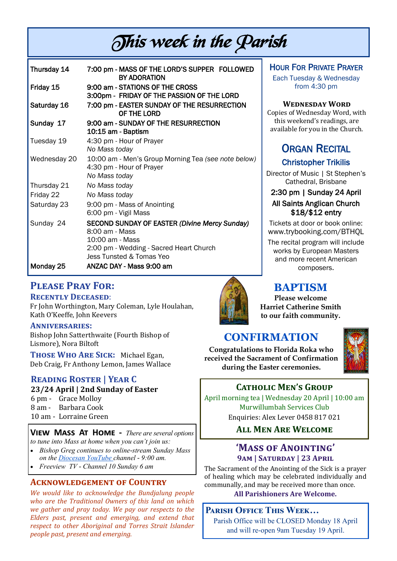# This week in the Parish

| Thursday 14  | 7:00 pm - MASS OF THE LORD'S SUPPER FOLLOWED<br>BY ADORATION                                                                                                         |
|--------------|----------------------------------------------------------------------------------------------------------------------------------------------------------------------|
| Friday 15    | 9:00 am - STATIONS OF THE CROSS<br>3:00pm - FRIDAY OF THE PASSION OF THE LORD                                                                                        |
| Saturday 16  | 7:00 pm - EASTER SUNDAY OF THE RESURRECTION<br>OF THE LORD                                                                                                           |
| Sunday 17    | 9:00 am - SUNDAY OF THE RESURRECTION<br>10:15 am - Baptism                                                                                                           |
| Tuesday 19   | 4:30 pm - Hour of Prayer<br>No Mass today                                                                                                                            |
| Wednesday 20 | 10:00 am - Men's Group Morning Tea (see note below)<br>4:30 pm - Hour of Prayer<br>No Mass today                                                                     |
| Thursday 21  | No Mass today                                                                                                                                                        |
| Friday 22    | No Mass today                                                                                                                                                        |
| Saturday 23  | 9:00 pm - Mass of Anointing<br>6:00 pm - Vigil Mass                                                                                                                  |
| Sunday 24    | <b>SECOND SUNDAY OF EASTER (Divine Mercy Sunday)</b><br>$8:00$ am - Mass<br>$10:00$ am - Mass<br>2:00 pm - Wedding - Sacred Heart Church<br>Jess Tunsted & Tomas Yeo |
| Monday 25    | ANZAC DAY - Mass 9:00 am                                                                                                                                             |

## **Please Pray For:**

#### **Recently Deceased**:

Fr John Worthington, Mary Coleman, Lyle Houlahan, Kath O'Keeffe, John Keevers

#### **Anniversaries:**

Bishop John Satterthwaite (Fourth Bishop of Lismore), Nora Biltoft

**Those Who Are Sick:** Michael Egan, Deb Craig, Fr Anthony Lemon, James Wallace

## **Reading Roster | Year C**

#### **23/24 April | 2nd Sunday of Easter**

6 pm - Grace Molloy

- 8 am Barbara Cook
- 10 am Lorraine Green

**View Mass At Home -** *There are several options to tune into Mass at home when you can't join us:* 

- *Bishop Greg continues to online-stream Sunday Mass on the Diocesan YouTube channel - 9:00 am.*
- *Freeview TV - Channel 10 Sunday 6 am*

#### **Acknowledgement of Country**

*We would like to acknowledge the Bundjalung people who are the Traditional Owners of this land on which we gather and pray today. We pay our respects to the Elders past, present and emerging, and extend that respect to other Aboriginal and Torres Strait Islander people past, present and emerging.* 



## HOUR FOR PRIVATE PRAYER

Each Tuesday & Wednesday from 4:30 pm

#### **Wednesday Word**

Copies of Wednesday Word, with this weekend's readings, are available for you in the Church.

## ORGAN RECITAL

## Christopher Trikilis

Director of Music | St Stephen's Cathedral, Brisbane

#### 2:30 pm | Sunday 24 April All Saints Anglican Church \$18/\$12 entry

Tickets at door or book online: www.trybooking.com/BTHQL

The recital program will include works by European Masters and more recent American composers.

## **BAPTISM**

**Please welcome Harriet Catherine Smith to our faith community.**

## **CONFIRMATION**

**Congratulations to Florida Roka who received the Sacrament of Confirmation during the Easter ceremonies.** 



## **Catholic Men's Group**

April morning tea | Wednesday 20 April | 10:00 am Murwillumbah Services Club Enquiries: Alex Lever 0458 817 021

#### **All Men Are Welcome**

## **'Mass of Anointing' 9am | Saturday | 23 April**

The Sacrament of the Anointing of the Sick is a prayer of healing which may be celebrated individually and communally, and may be received more than once.

**All Parishioners Are Welcome.** 

## **Parish Office This Week…**

Parish Office will be CLOSED Monday 18 April and will re-open 9am Tuesday 19 April.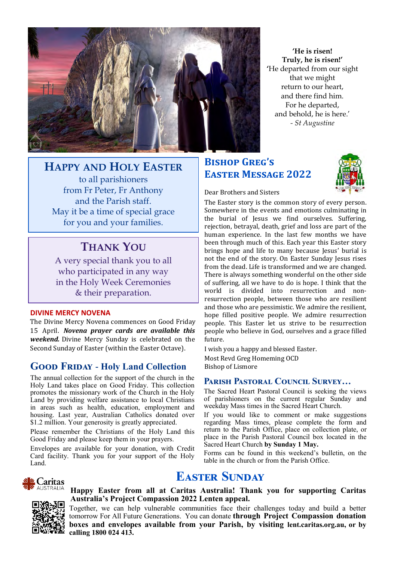

## **HAPPY AND HOLY EASTER**

to all parishioners from Fr Peter, Fr Anthony and the Parish staff. May it be a time of special grace for you and your families.

## **THANK YOU**

A very special thank you to all who participated in any way in the Holy Week Ceremonies & their preparation.

#### **DIVINE MERCY NOVENA**

The Divine Mercy Novena commences on Good Friday 15 April. *Novena prayer cards are available this weekend.* Divine Mercy Sunday is celebrated on the Second Sunday of Easter (within the Easter Octave).

## **Good Friday - Holy Land Collection**

The annual collection for the support of the church in the Holy Land takes place on Good Friday. This collection promotes the missionary work of the Church in the Holy Land by providing welfare assistance to local Christians in areas such as health, education, employment and housing. Last year, Australian Catholics donated over \$1.2 million. Your generosity is greatly appreciated.

Please remember the Christians of the Holy Land this Good Friday and please keep them in your prayers.

Envelopes are available for your donation, with Credit Card facility. Thank you for your support of the Holy Land.

**'He is risen! Truly, he is risen!' '**He departed from our sight that we might return to our heart, and there find him. For he departed, and behold, he is here.' *- St Augustine*

## **Bishop Greg's Easter Message 2022**



Dear Brothers and Sisters

The Easter story is the common story of every person. Somewhere in the events and emotions culminating in the burial of Jesus we find ourselves. Suffering, rejection, betrayal, death, grief and loss are part of the human experience. In the last few months we have been through much of this. Each year this Easter story brings hope and life to many because Jesus' burial is not the end of the story. On Easter Sunday Jesus rises from the dead. Life is transformed and we are changed. There is always something wonderful on the other side of suffering, all we have to do is hope. I think that the world is divided into resurrection and nonresurrection people, between those who are resilient and those who are pessimistic. We admire the resilient, hope filled positive people. We admire resurrection people. This Easter let us strive to be resurrection people who believe in God, ourselves and a grace filled future.

I wish you a happy and blessed Easter. Most Revd Greg Homeming OCD Bishop of Lismore

#### **Parish Pastoral Council Survey…**

The Sacred Heart Pastoral Council is seeking the views of parishioners on the current regular Sunday and weekday Mass times in the Sacred Heart Church.

If you would like to comment or make suggestions regarding Mass times, please complete the form and return to the Parish Office, place on collection plate, or place in the Parish Pastoral Council box located in the Sacred Heart Church **by Sunday 1 May.** 

Forms can be found in this weekend's bulletin, on the table in the church or from the Parish Office.

## **Easter Sunday**



**Caritas** 

**Happy Easter from all at Caritas Australia! Thank you for supporting Caritas Australia's Project Compassion 2022 Lenten appeal.**

Together, we can help vulnerable communities face their challenges today and build a better tomorrow For All Future Generations. You can donate **through Project Compassion donation boxes and envelopes available from your Parish, by visiting lent.caritas.org.au, or by calling 1800 024 413.**